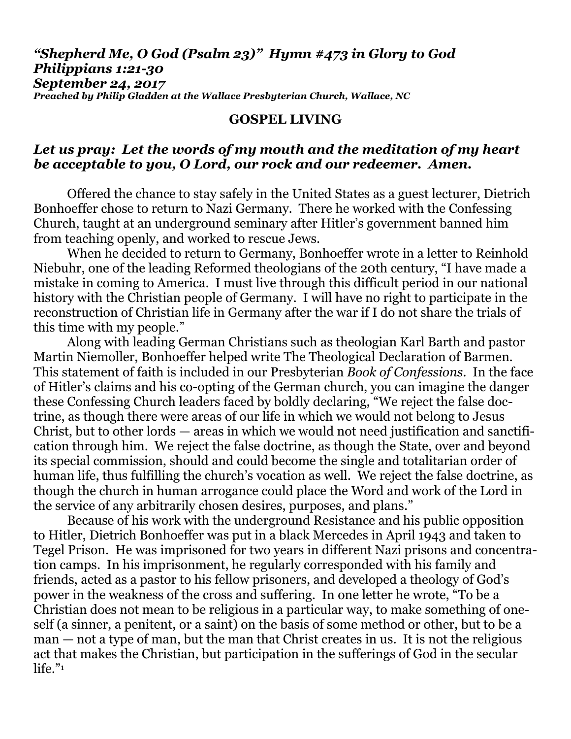*"Shepherd Me, O God (Psalm 23)" Hymn #473 in Glory to God Philippians 1:21-30 September 24, 2017 Preached by Philip Gladden at the Wallace Presbyterian Church, Wallace, NC* 

## **GOSPEL LIVING**

## *Let us pray: Let the words of my mouth and the meditation of my heart be acceptable to you, O Lord, our rock and our redeemer. Amen.*

Offered the chance to stay safely in the United States as a guest lecturer, Dietrich Bonhoeffer chose to return to Nazi Germany. There he worked with the Confessing Church, taught at an underground seminary after Hitler's government banned him from teaching openly, and worked to rescue Jews.

When he decided to return to Germany, Bonhoeffer wrote in a letter to Reinhold Niebuhr, one of the leading Reformed theologians of the 20th century, "I have made a mistake in coming to America. I must live through this difficult period in our national history with the Christian people of Germany. I will have no right to participate in the reconstruction of Christian life in Germany after the war if I do not share the trials of this time with my people."

Along with leading German Christians such as theologian Karl Barth and pastor Martin Niemoller, Bonhoeffer helped write The Theological Declaration of Barmen. This statement of faith is included in our Presbyterian *Book of Confessions*. In the face of Hitler's claims and his co-opting of the German church, you can imagine the danger these Confessing Church leaders faced by boldly declaring, "We reject the false doctrine, as though there were areas of our life in which we would not belong to Jesus Christ, but to other lords — areas in which we would not need justification and sanctification through him. We reject the false doctrine, as though the State, over and beyond its special commission, should and could become the single and totalitarian order of human life, thus fulfilling the church's vocation as well. We reject the false doctrine, as though the church in human arrogance could place the Word and work of the Lord in the service of any arbitrarily chosen desires, purposes, and plans."

Because of his work with the underground Resistance and his public opposition to Hitler, Dietrich Bonhoeffer was put in a black Mercedes in April 1943 and taken to Tegel Prison. He was imprisoned for two years in different Nazi prisons and concentration camps. In his imprisonment, he regularly corresponded with his family and friends, acted as a pastor to his fellow prisoners, and developed a theology of God's power in the weakness of the cross and suffering. In one letter he wrote, "To be a Christian does not mean to be religious in a particular way, to make something of oneself (a sinner, a penitent, or a saint) on the basis of some method or other, but to be a man — not a type of man, but the man that Christ creates in us. It is not the religious act that makes the Christian, but participation in the sufferings of God in the secular life."1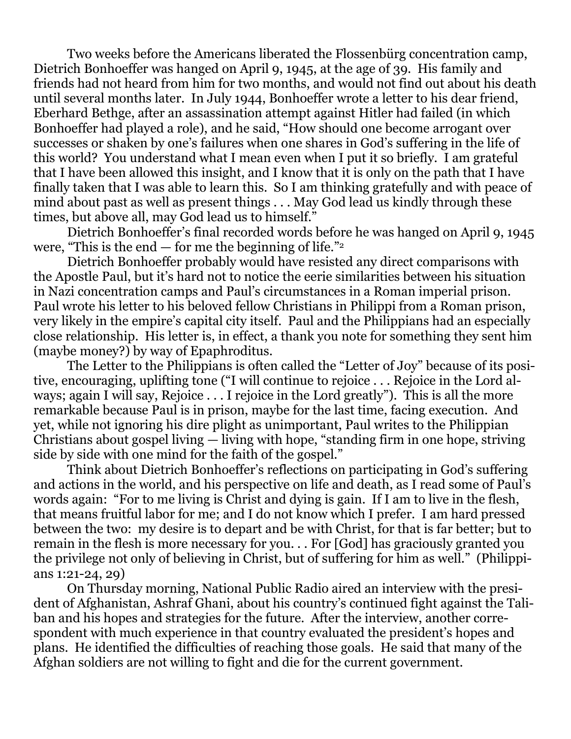Two weeks before the Americans liberated the Flossenbürg concentration camp, Dietrich Bonhoeffer was hanged on April 9, 1945, at the age of 39. His family and friends had not heard from him for two months, and would not find out about his death until several months later. In July 1944, Bonhoeffer wrote a letter to his dear friend, Eberhard Bethge, after an assassination attempt against Hitler had failed (in which Bonhoeffer had played a role), and he said, "How should one become arrogant over successes or shaken by one's failures when one shares in God's suffering in the life of this world? You understand what I mean even when I put it so briefly. I am grateful that I have been allowed this insight, and I know that it is only on the path that I have finally taken that I was able to learn this. So I am thinking gratefully and with peace of mind about past as well as present things . . . May God lead us kindly through these times, but above all, may God lead us to himself."

Dietrich Bonhoeffer's final recorded words before he was hanged on April 9, 1945 were, "This is the end  $-$  for me the beginning of life."<sup>2</sup>

Dietrich Bonhoeffer probably would have resisted any direct comparisons with the Apostle Paul, but it's hard not to notice the eerie similarities between his situation in Nazi concentration camps and Paul's circumstances in a Roman imperial prison. Paul wrote his letter to his beloved fellow Christians in Philippi from a Roman prison, very likely in the empire's capital city itself. Paul and the Philippians had an especially close relationship. His letter is, in effect, a thank you note for something they sent him (maybe money?) by way of Epaphroditus.

The Letter to the Philippians is often called the "Letter of Joy" because of its positive, encouraging, uplifting tone ("I will continue to rejoice . . . Rejoice in the Lord always; again I will say, Rejoice . . . I rejoice in the Lord greatly"). This is all the more remarkable because Paul is in prison, maybe for the last time, facing execution. And yet, while not ignoring his dire plight as unimportant, Paul writes to the Philippian Christians about gospel living — living with hope, "standing firm in one hope, striving side by side with one mind for the faith of the gospel."

Think about Dietrich Bonhoeffer's reflections on participating in God's suffering and actions in the world, and his perspective on life and death, as I read some of Paul's words again: "For to me living is Christ and dying is gain. If I am to live in the flesh, that means fruitful labor for me; and I do not know which I prefer. I am hard pressed between the two: my desire is to depart and be with Christ, for that is far better; but to remain in the flesh is more necessary for you. . . For [God] has graciously granted you the privilege not only of believing in Christ, but of suffering for him as well." (Philippians 1:21-24, 29)

On Thursday morning, National Public Radio aired an interview with the president of Afghanistan, Ashraf Ghani, about his country's continued fight against the Taliban and his hopes and strategies for the future. After the interview, another correspondent with much experience in that country evaluated the president's hopes and plans. He identified the difficulties of reaching those goals. He said that many of the Afghan soldiers are not willing to fight and die for the current government.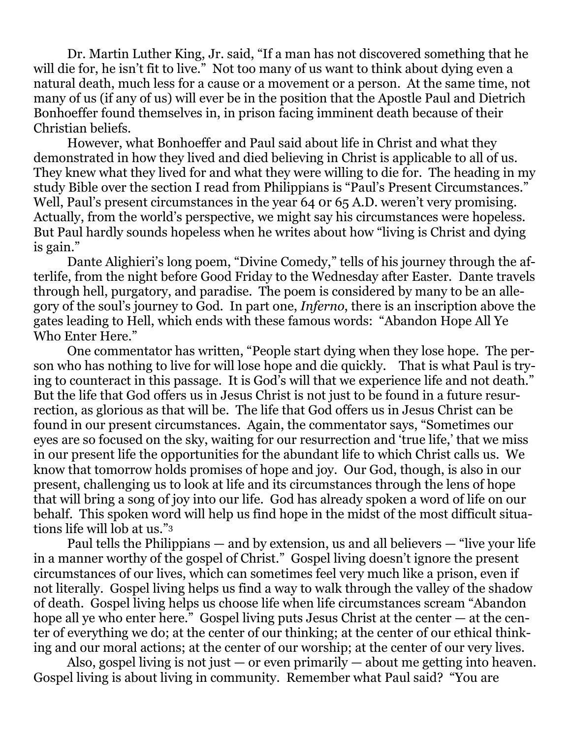Dr. Martin Luther King, Jr. said, "If a man has not discovered something that he will die for, he isn't fit to live." Not too many of us want to think about dying even a natural death, much less for a cause or a movement or a person. At the same time, not many of us (if any of us) will ever be in the position that the Apostle Paul and Dietrich Bonhoeffer found themselves in, in prison facing imminent death because of their Christian beliefs.

However, what Bonhoeffer and Paul said about life in Christ and what they demonstrated in how they lived and died believing in Christ is applicable to all of us. They knew what they lived for and what they were willing to die for. The heading in my study Bible over the section I read from Philippians is "Paul's Present Circumstances." Well, Paul's present circumstances in the year 64 or 65 A.D. weren't very promising. Actually, from the world's perspective, we might say his circumstances were hopeless. But Paul hardly sounds hopeless when he writes about how "living is Christ and dying is gain."

Dante Alighieri's long poem, "Divine Comedy," tells of his journey through the afterlife, from the night before Good Friday to the Wednesday after Easter. Dante travels through hell, purgatory, and paradise. The poem is considered by many to be an allegory of the soul's journey to God. In part one, *Inferno*, there is an inscription above the gates leading to Hell, which ends with these famous words: "Abandon Hope All Ye Who Enter Here."

One commentator has written, "People start dying when they lose hope. The person who has nothing to live for will lose hope and die quickly. That is what Paul is trying to counteract in this passage. It is God's will that we experience life and not death." But the life that God offers us in Jesus Christ is not just to be found in a future resurrection, as glorious as that will be. The life that God offers us in Jesus Christ can be found in our present circumstances. Again, the commentator says, "Sometimes our eyes are so focused on the sky, waiting for our resurrection and 'true life,' that we miss in our present life the opportunities for the abundant life to which Christ calls us. We know that tomorrow holds promises of hope and joy. Our God, though, is also in our present, challenging us to look at life and its circumstances through the lens of hope that will bring a song of joy into our life. God has already spoken a word of life on our behalf. This spoken word will help us find hope in the midst of the most difficult situations life will lob at us."<sup>3</sup>

Paul tells the Philippians — and by extension, us and all believers — "live your life in a manner worthy of the gospel of Christ." Gospel living doesn't ignore the present circumstances of our lives, which can sometimes feel very much like a prison, even if not literally. Gospel living helps us find a way to walk through the valley of the shadow of death. Gospel living helps us choose life when life circumstances scream "Abandon hope all ye who enter here." Gospel living puts Jesus Christ at the center  $-$  at the center of everything we do; at the center of our thinking; at the center of our ethical thinking and our moral actions; at the center of our worship; at the center of our very lives.

Also, gospel living is not just  $-$  or even primarily  $-$  about me getting into heaven. Gospel living is about living in community. Remember what Paul said? "You are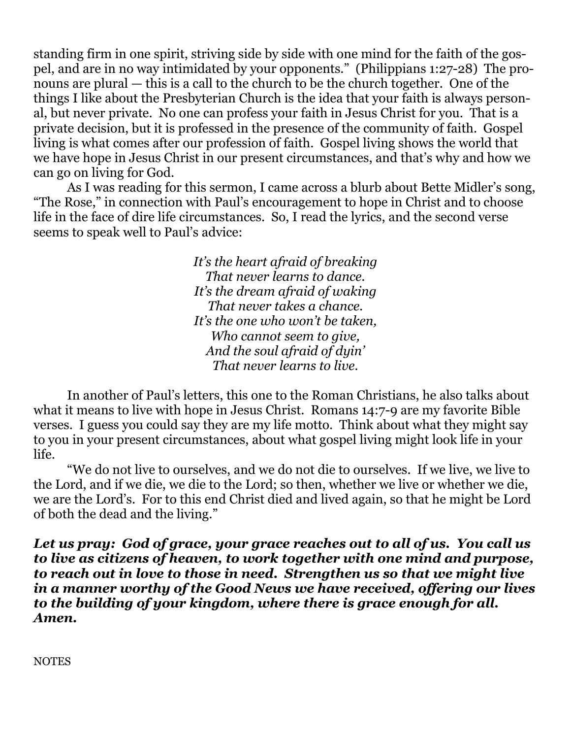standing firm in one spirit, striving side by side with one mind for the faith of the gospel, and are in no way intimidated by your opponents." (Philippians 1:27-28) The pronouns are plural — this is a call to the church to be the church together. One of the things I like about the Presbyterian Church is the idea that your faith is always personal, but never private. No one can profess your faith in Jesus Christ for you. That is a private decision, but it is professed in the presence of the community of faith. Gospel living is what comes after our profession of faith. Gospel living shows the world that we have hope in Jesus Christ in our present circumstances, and that's why and how we can go on living for God.

As I was reading for this sermon, I came across a blurb about Bette Midler's song, "The Rose," in connection with Paul's encouragement to hope in Christ and to choose life in the face of dire life circumstances. So, I read the lyrics, and the second verse seems to speak well to Paul's advice:

> *It's the heart afraid of breaking That never learns to dance. It's the dream afraid of waking That never takes a chance. It's the one who won't be taken, Who cannot seem to give, And the soul afraid of dyin' That never learns to live.*

In another of Paul's letters, this one to the Roman Christians, he also talks about what it means to live with hope in Jesus Christ. Romans 14:7-9 are my favorite Bible verses. I guess you could say they are my life motto. Think about what they might say to you in your present circumstances, about what gospel living might look life in your life.

"We do not live to ourselves, and we do not die to ourselves. If we live, we live to the Lord, and if we die, we die to the Lord; so then, whether we live or whether we die, we are the Lord's. For to this end Christ died and lived again, so that he might be Lord of both the dead and the living."

*Let us pray: God of grace, your grace reaches out to all of us. You call us to live as citizens of heaven, to work together with one mind and purpose, to reach out in love to those in need. Strengthen us so that we might live in a manner worthy of the Good News we have received, offering our lives to the building of your kingdom, where there is grace enough for all. Amen.*

NOTES